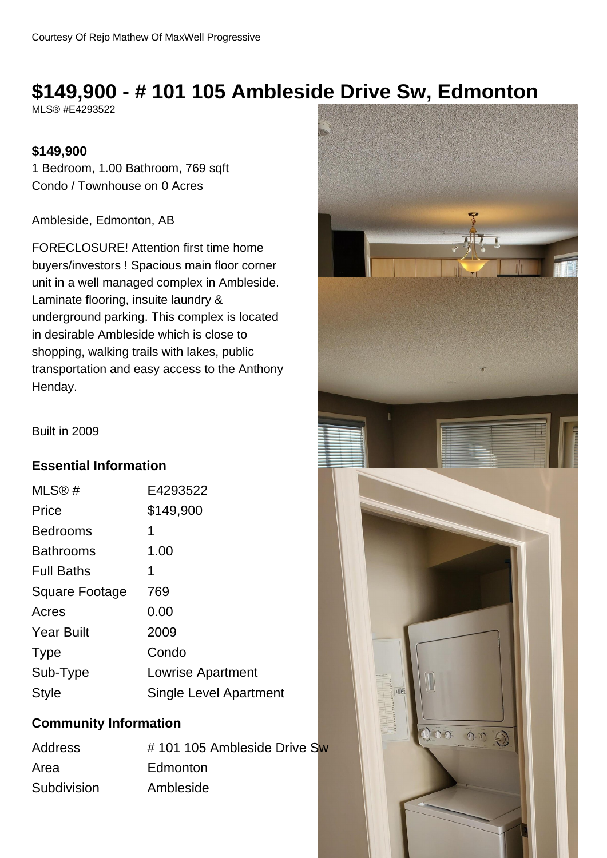# **\$149,900 - # 101 105 Ambleside Drive Sw, Edmonton**

MLS® #E4293522

#### **\$149,900**

1 Bedroom, 1.00 Bathroom, 769 sqft Condo / Townhouse on 0 Acres

Ambleside, Edmonton, AB

FORECLOSURE! Attention first time home buyers/investors ! Spacious main floor corner unit in a well managed complex in Ambleside. Laminate flooring, insuite laundry & underground parking. This complex is located in desirable Ambleside which is close to shopping, walking trails with lakes, public transportation and easy access to the Anthony Henday.

Built in 2009

#### **Essential Information**

| MLS@#                 | E4293522               |
|-----------------------|------------------------|
| Price                 | \$149,900              |
| <b>Bedrooms</b>       | 1                      |
| <b>Bathrooms</b>      | 1.00                   |
| <b>Full Baths</b>     | 1                      |
| <b>Square Footage</b> | 769                    |
| Acres                 | 0.00                   |
| <b>Year Built</b>     | 2009                   |
| <b>Type</b>           | Condo                  |
| Sub-Type              | Lowrise Apartment      |
| Style                 | Single Level Apartment |

#### **Community Information**

| <b>Address</b> | #101105 Ambleside Drive Sw |  |
|----------------|----------------------------|--|
| Area           | Edmonton                   |  |
| Subdivision    | Ambleside                  |  |